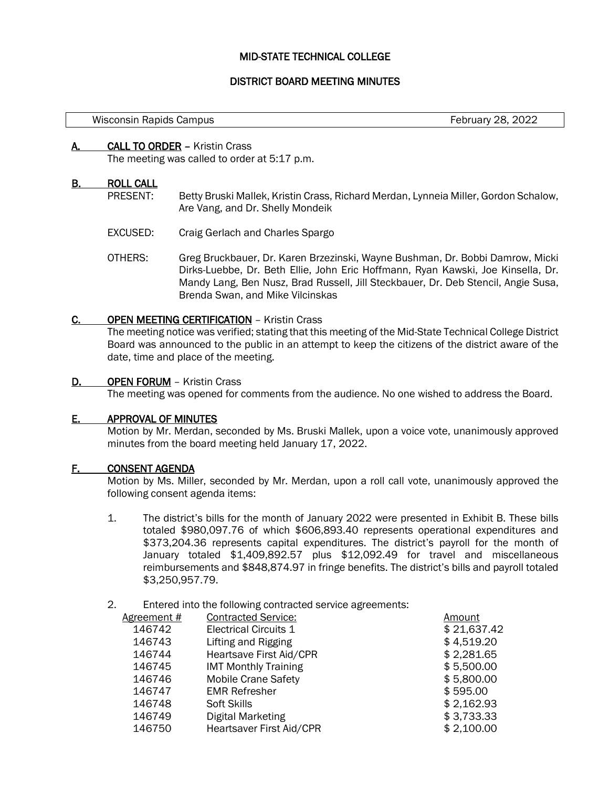## MID-STATE TECHNICAL COLLEGE

## DISTRICT BOARD MEETING MINUTES

February 28, 2022

#### A. CALL TO ORDER – Kristin Crass

The meeting was called to order at 5:17 p.m.

#### B. ROLL CALL

- PRESENT: Betty Bruski Mallek, Kristin Crass, Richard Merdan, Lynneia Miller, Gordon Schalow, Are Vang, and Dr. Shelly Mondeik
- EXCUSED: Craig Gerlach and Charles Spargo
- OTHERS: Greg Bruckbauer, Dr. Karen Brzezinski, Wayne Bushman, Dr. Bobbi Damrow, Micki Dirks-Luebbe, Dr. Beth Ellie, John Eric Hoffmann, Ryan Kawski, Joe Kinsella, Dr. Mandy Lang, Ben Nusz, Brad Russell, Jill Steckbauer, Dr. Deb Stencil, Angie Susa, Brenda Swan, and Mike Vilcinskas

#### C. OPEN MEETING CERTIFICATION – Kristin Crass

The meeting notice was verified; stating that this meeting of the Mid-State Technical College District Board was announced to the public in an attempt to keep the citizens of the district aware of the date, time and place of the meeting.

#### D. OPEN FORUM - Kristin Crass

The meeting was opened for comments from the audience. No one wished to address the Board.

## E. APPROVAL OF MINUTES

Motion by Mr. Merdan, seconded by Ms. Bruski Mallek, upon a voice vote, unanimously approved minutes from the board meeting held January 17, 2022.

#### F. CONSENT AGENDA

Motion by Ms. Miller, seconded by Mr. Merdan, upon a roll call vote, unanimously approved the following consent agenda items:

- 1. The district's bills for the month of January 2022 were presented in Exhibit B. These bills totaled \$980,097.76 of which \$606,893.40 represents operational expenditures and \$373,204.36 represents capital expenditures. The district's payroll for the month of January totaled \$1,409,892.57 plus \$12,092.49 for travel and miscellaneous reimbursements and \$848,874.97 in fringe benefits. The district's bills and payroll totaled \$3,250,957.79.
- 2. Entered into the following contracted service agreements:

| Agreement # | <b>Contracted Service:</b>   | Amount      |
|-------------|------------------------------|-------------|
| 146742      | <b>Electrical Circuits 1</b> | \$21,637.42 |
| 146743      | Lifting and Rigging          | \$4,519.20  |
| 146744      | Heartsave First Aid/CPR      | \$2,281.65  |
| 146745      | <b>IMT Monthly Training</b>  | \$5,500.00  |
| 146746      | <b>Mobile Crane Safety</b>   | \$5,800.00  |
| 146747      | <b>EMR Refresher</b>         | \$595.00    |
| 146748      | Soft Skills                  | \$2,162.93  |
| 146749      | <b>Digital Marketing</b>     | \$3,733.33  |
| 146750      | Heartsaver First Aid/CPR     | \$2,100.00  |
|             |                              |             |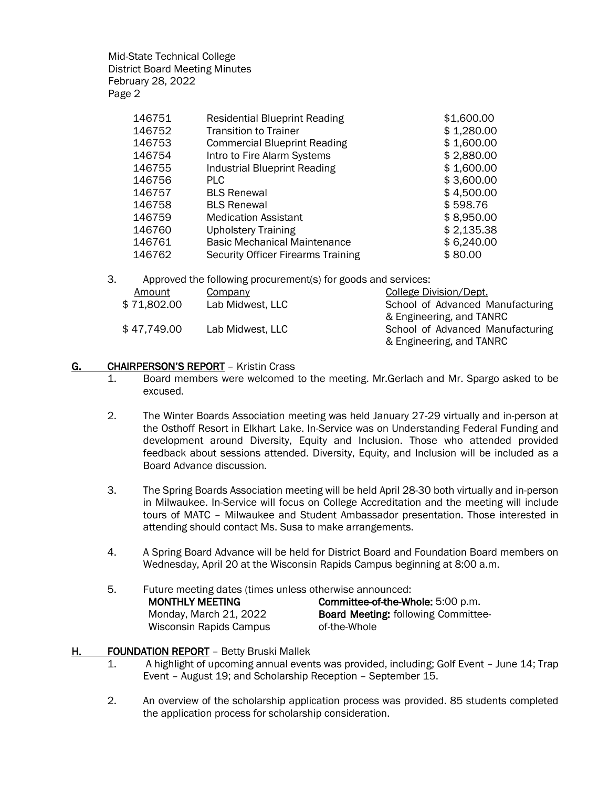| 146751 | <b>Residential Blueprint Reading</b>      | \$1,600.00 |
|--------|-------------------------------------------|------------|
| 146752 | <b>Transition to Trainer</b>              | \$1,280.00 |
| 146753 | <b>Commercial Blueprint Reading</b>       | \$1,600.00 |
| 146754 | Intro to Fire Alarm Systems               | \$2,880.00 |
| 146755 | <b>Industrial Blueprint Reading</b>       | \$1,600.00 |
| 146756 | <b>PLC</b>                                | \$3,600.00 |
| 146757 | <b>BLS Renewal</b>                        | \$4,500.00 |
| 146758 | <b>BLS Renewal</b>                        | \$598.76   |
| 146759 | <b>Medication Assistant</b>               | \$8,950.00 |
| 146760 | <b>Upholstery Training</b>                | \$2,135.38 |
| 146761 | <b>Basic Mechanical Maintenance</b>       | \$6,240.00 |
| 146762 | <b>Security Officer Firearms Training</b> | \$80.00    |
|        |                                           |            |

3. Approved the following procurement(s) for goods and services:

| Amount      | Company          | <b>College Division/Dept.</b>    |
|-------------|------------------|----------------------------------|
| \$71,802.00 | Lab Midwest, LLC | School of Advanced Manufacturing |
|             |                  | & Engineering, and TANRC         |
| \$47,749.00 | Lab Midwest, LLC | School of Advanced Manufacturing |
|             |                  | & Engineering, and TANRC         |

## G. CHAIRPERSON'S REPORT - Kristin Crass

- 1. Board members were welcomed to the meeting. Mr.Gerlach and Mr. Spargo asked to be excused.
- 2. The Winter Boards Association meeting was held January 27-29 virtually and in-person at the Osthoff Resort in Elkhart Lake. In-Service was on Understanding Federal Funding and development around Diversity, Equity and Inclusion. Those who attended provided feedback about sessions attended. Diversity, Equity, and Inclusion will be included as a Board Advance discussion.
- 3. The Spring Boards Association meeting will be held April 28-30 both virtually and in-person in Milwaukee. In-Service will focus on College Accreditation and the meeting will include tours of MATC – Milwaukee and Student Ambassador presentation. Those interested in attending should contact Ms. Susa to make arrangements.
- 4. A Spring Board Advance will be held for District Board and Foundation Board members on Wednesday, April 20 at the Wisconsin Rapids Campus beginning at 8:00 a.m.
- 5. Future meeting dates (times unless otherwise announced: MONTHLY MEETING Monday, March 21, 2022 Wisconsin Rapids Campus Committee-of-the-Whole: 5:00 p.m. Board Meeting: following Committeeof-the-Whole

## H. FOUNDATION REPORT - Betty Bruski Mallek

- 1. A highlight of upcoming annual events was provided, including; Golf Event June 14; Trap Event – August 19; and Scholarship Reception – September 15.
- 2. An overview of the scholarship application process was provided. 85 students completed the application process for scholarship consideration.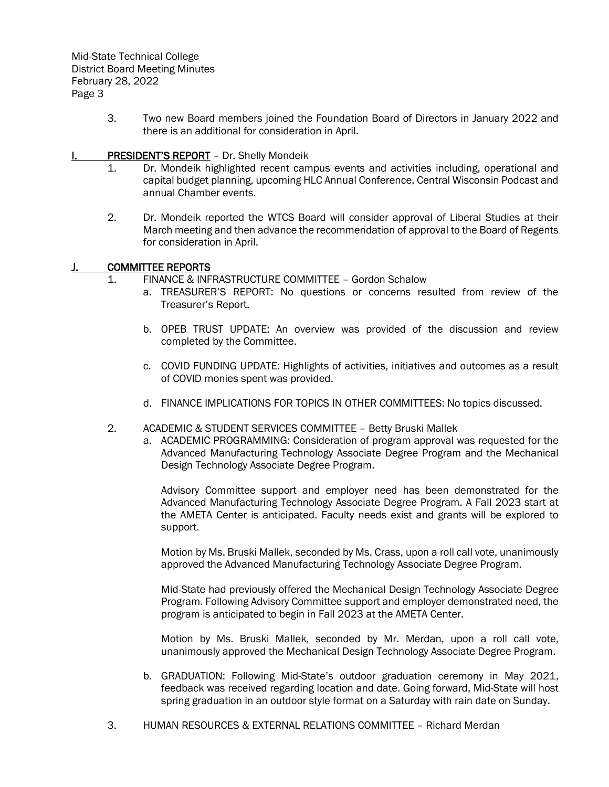> 3. Two new Board members joined the Foundation Board of Directors in January 2022 and there is an additional for consideration in April.

## **I. PRESIDENT'S REPORT** – Dr. Shelly Mondeik

- 1. Dr. Mondeik highlighted recent campus events and activities including, operational and capital budget planning, upcoming HLC Annual Conference, Central Wisconsin Podcast and annual Chamber events.
- 2. Dr. Mondeik reported the WTCS Board will consider approval of Liberal Studies at their March meeting and then advance the recommendation of approval to the Board of Regents for consideration in April.

## J. COMMITTEE REPORTS

- 1. FINANCE & INFRASTRUCTURE COMMITTEE Gordon Schalow
	- a. TREASURER'S REPORT: No questions or concerns resulted from review of the Treasurer's Report.
	- b. OPEB TRUST UPDATE: An overview was provided of the discussion and review completed by the Committee.
	- c. COVID FUNDING UPDATE: Highlights of activities, initiatives and outcomes as a result of COVID monies spent was provided.
	- d. FINANCE IMPLICATIONS FOR TOPICS IN OTHER COMMITTEES: No topics discussed.
- 2. ACADEMIC & STUDENT SERVICES COMMITTEE Betty Bruski Mallek
	- a. ACADEMIC PROGRAMMING: Consideration of program approval was requested for the Advanced Manufacturing Technology Associate Degree Program and the Mechanical Design Technology Associate Degree Program.

Advisory Committee support and employer need has been demonstrated for the Advanced Manufacturing Technology Associate Degree Program. A Fall 2023 start at the AMETA Center is anticipated. Faculty needs exist and grants will be explored to support.

Motion by Ms. Bruski Mallek, seconded by Ms. Crass, upon a roll call vote, unanimously approved the Advanced Manufacturing Technology Associate Degree Program.

Mid-State had previously offered the Mechanical Design Technology Associate Degree Program. Following Advisory Committee support and employer demonstrated need, the program is anticipated to begin in Fall 2023 at the AMETA Center.

Motion by Ms. Bruski Mallek, seconded by Mr. Merdan, upon a roll call vote, unanimously approved the Mechanical Design Technology Associate Degree Program.

- b. GRADUATION: Following Mid-State's outdoor graduation ceremony in May 2021, feedback was received regarding location and date. Going forward, Mid-State will host spring graduation in an outdoor style format on a Saturday with rain date on Sunday.
- 3. HUMAN RESOURCES & EXTERNAL RELATIONS COMMITTEE Richard Merdan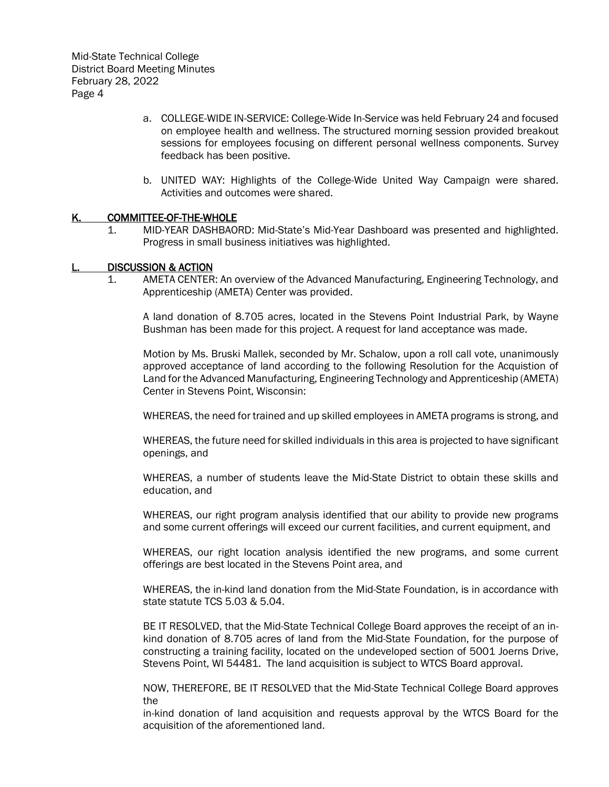- a. COLLEGE-WIDE IN-SERVICE: College-Wide In-Service was held February 24 and focused on employee health and wellness. The structured morning session provided breakout sessions for employees focusing on different personal wellness components. Survey feedback has been positive.
- b. UNITED WAY: Highlights of the College-Wide United Way Campaign were shared. Activities and outcomes were shared.

## K. COMMITTEE-OF-THE-WHOLE

1. MID-YEAR DASHBAORD: Mid-State's Mid-Year Dashboard was presented and highlighted. Progress in small business initiatives was highlighted.

#### DISCUSSION & ACTION

1. AMETA CENTER: An overview of the Advanced Manufacturing, Engineering Technology, and Apprenticeship (AMETA) Center was provided.

A land donation of 8.705 acres, located in the Stevens Point Industrial Park, by Wayne Bushman has been made for this project. A request for land acceptance was made.

Motion by Ms. Bruski Mallek, seconded by Mr. Schalow, upon a roll call vote, unanimously approved acceptance of land according to the following Resolution for the Acquistion of Land for the Advanced Manufacturing, Engineering Technology and Apprenticeship (AMETA) Center in Stevens Point, Wisconsin:

WHEREAS, the need for trained and up skilled employees in AMETA programs is strong, and

WHEREAS, the future need for skilled individuals in this area is projected to have significant openings, and

WHEREAS, a number of students leave the Mid-State District to obtain these skills and education, and

WHEREAS, our right program analysis identified that our ability to provide new programs and some current offerings will exceed our current facilities, and current equipment, and

WHEREAS, our right location analysis identified the new programs, and some current offerings are best located in the Stevens Point area, and

WHEREAS, the in-kind land donation from the Mid-State Foundation, is in accordance with state statute TCS 5.03 & 5.04.

BE IT RESOLVED, that the Mid-State Technical College Board approves the receipt of an inkind donation of 8.705 acres of land from the Mid-State Foundation, for the purpose of constructing a training facility, located on the undeveloped section of 5001 Joerns Drive, Stevens Point, WI 54481. The land acquisition is subject to WTCS Board approval.

NOW, THEREFORE, BE IT RESOLVED that the Mid-State Technical College Board approves the

in-kind donation of land acquisition and requests approval by the WTCS Board for the acquisition of the aforementioned land.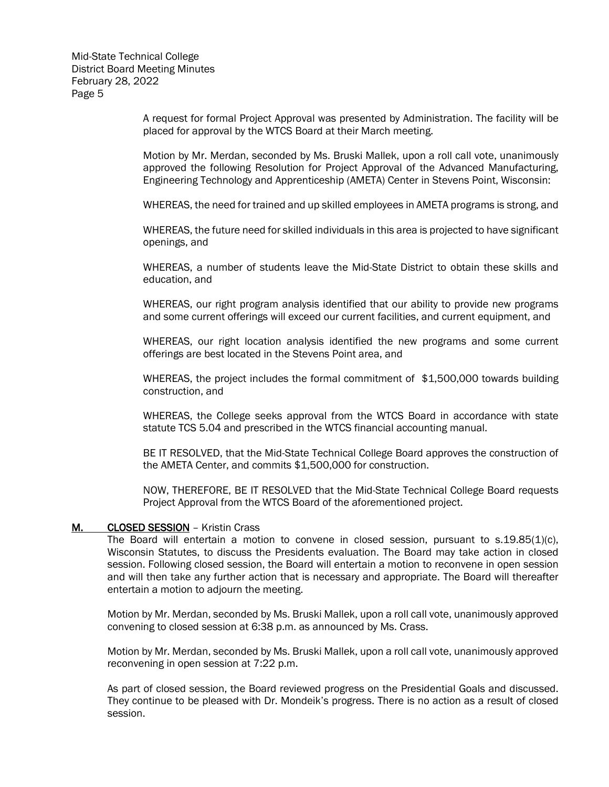> A request for formal Project Approval was presented by Administration. The facility will be placed for approval by the WTCS Board at their March meeting.

> Motion by Mr. Merdan, seconded by Ms. Bruski Mallek, upon a roll call vote, unanimously approved the following Resolution for Project Approval of the Advanced Manufacturing, Engineering Technology and Apprenticeship (AMETA) Center in Stevens Point, Wisconsin:

> WHEREAS, the need for trained and up skilled employees in AMETA programs is strong, and

WHEREAS, the future need for skilled individuals in this area is projected to have significant openings, and

WHEREAS, a number of students leave the Mid-State District to obtain these skills and education, and

WHEREAS, our right program analysis identified that our ability to provide new programs and some current offerings will exceed our current facilities, and current equipment, and

WHEREAS, our right location analysis identified the new programs and some current offerings are best located in the Stevens Point area, and

WHEREAS, the project includes the formal commitment of \$1,500,000 towards building construction, and

WHEREAS, the College seeks approval from the WTCS Board in accordance with state statute TCS 5.04 and prescribed in the WTCS financial accounting manual.

BE IT RESOLVED, that the Mid-State Technical College Board approves the construction of the AMETA Center, and commits \$1,500,000 for construction.

NOW, THEREFORE, BE IT RESOLVED that the Mid-State Technical College Board requests Project Approval from the WTCS Board of the aforementioned project.

#### M. CLOSED SESSION – Kristin Crass

The Board will entertain a motion to convene in closed session, pursuant to  $s.19.85(1)(c)$ , Wisconsin Statutes, to discuss the Presidents evaluation. The Board may take action in closed session. Following closed session, the Board will entertain a motion to reconvene in open session and will then take any further action that is necessary and appropriate. The Board will thereafter entertain a motion to adjourn the meeting.

Motion by Mr. Merdan, seconded by Ms. Bruski Mallek, upon a roll call vote, unanimously approved convening to closed session at 6:38 p.m. as announced by Ms. Crass.

Motion by Mr. Merdan, seconded by Ms. Bruski Mallek, upon a roll call vote, unanimously approved reconvening in open session at 7:22 p.m.

As part of closed session, the Board reviewed progress on the Presidential Goals and discussed. They continue to be pleased with Dr. Mondeik's progress. There is no action as a result of closed session.